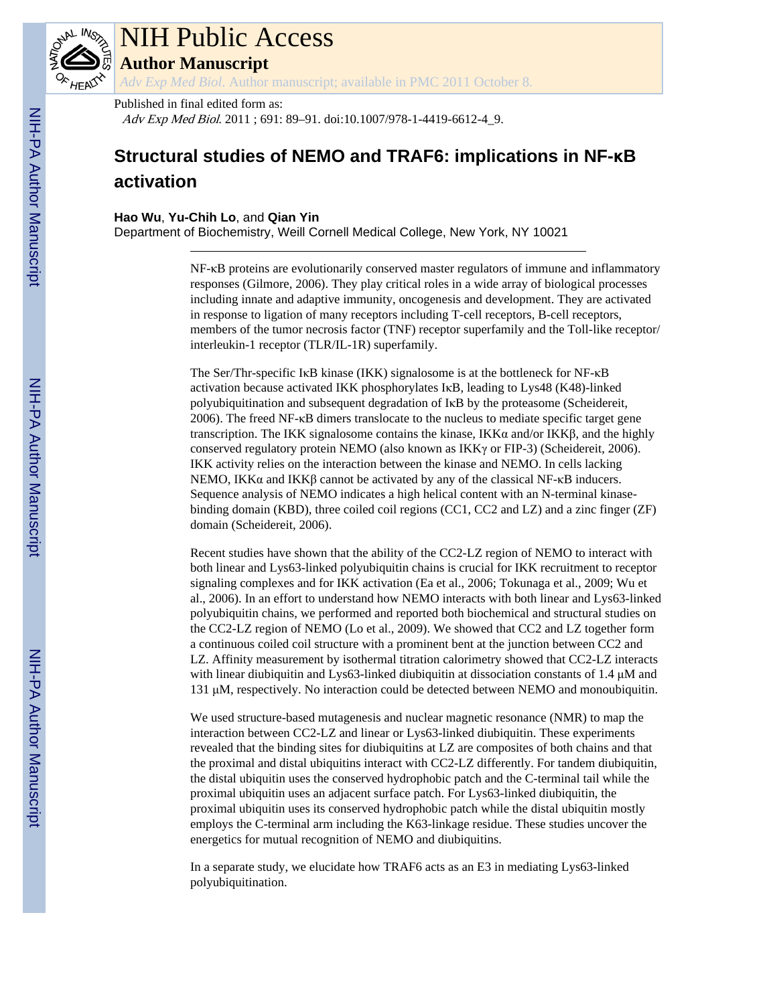

# NIH Public Access

**Author Manuscript**

*Adv Exp Med Biol*. Author manuscript; available in PMC 2011 October 8.

### Published in final edited form as:

Adv Exp Med Biol. 2011 ; 691: 89-91. doi:10.1007/978-1-4419-6612-4\_9.

## **Structural studies of NEMO and TRAF6: implications in NF-κB activation**

#### **Hao Wu**, **Yu-Chih Lo**, and **Qian Yin**

Department of Biochemistry, Weill Cornell Medical College, New York, NY 10021

NF-κB proteins are evolutionarily conserved master regulators of immune and inflammatory responses (Gilmore, 2006). They play critical roles in a wide array of biological processes including innate and adaptive immunity, oncogenesis and development. They are activated in response to ligation of many receptors including T-cell receptors, B-cell receptors, members of the tumor necrosis factor (TNF) receptor superfamily and the Toll-like receptor/ interleukin-1 receptor (TLR/IL-1R) superfamily.

The Ser/Thr-specific IκB kinase (IKK) signalosome is at the bottleneck for NF-κB activation because activated IKK phosphorylates IκB, leading to Lys48 (K48)-linked polyubiquitination and subsequent degradation of IκB by the proteasome (Scheidereit, 2006). The freed NF-κB dimers translocate to the nucleus to mediate specific target gene transcription. The IKK signalosome contains the kinase, IKKα and/or IKKβ, and the highly conserved regulatory protein NEMO (also known as IKKγ or FIP-3) (Scheidereit, 2006). IKK activity relies on the interaction between the kinase and NEMO. In cells lacking NEMO, IKKα and IKKβ cannot be activated by any of the classical NF- $κ$ B inducers. Sequence analysis of NEMO indicates a high helical content with an N-terminal kinasebinding domain (KBD), three coiled coil regions (CC1, CC2 and LZ) and a zinc finger (ZF) domain (Scheidereit, 2006).

Recent studies have shown that the ability of the CC2-LZ region of NEMO to interact with both linear and Lys63-linked polyubiquitin chains is crucial for IKK recruitment to receptor signaling complexes and for IKK activation (Ea et al., 2006; Tokunaga et al., 2009; Wu et al., 2006). In an effort to understand how NEMO interacts with both linear and Lys63-linked polyubiquitin chains, we performed and reported both biochemical and structural studies on the CC2-LZ region of NEMO (Lo et al., 2009). We showed that CC2 and LZ together form a continuous coiled coil structure with a prominent bent at the junction between CC2 and LZ. Affinity measurement by isothermal titration calorimetry showed that CC2-LZ interacts with linear diubiquitin and Lys63-linked diubiquitin at dissociation constants of 1.4 μM and 131 μM, respectively. No interaction could be detected between NEMO and monoubiquitin.

We used structure-based mutagenesis and nuclear magnetic resonance (NMR) to map the interaction between CC2-LZ and linear or Lys63-linked diubiquitin. These experiments revealed that the binding sites for diubiquitins at LZ are composites of both chains and that the proximal and distal ubiquitins interact with CC2-LZ differently. For tandem diubiquitin, the distal ubiquitin uses the conserved hydrophobic patch and the C-terminal tail while the proximal ubiquitin uses an adjacent surface patch. For Lys63-linked diubiquitin, the proximal ubiquitin uses its conserved hydrophobic patch while the distal ubiquitin mostly employs the C-terminal arm including the K63-linkage residue. These studies uncover the energetics for mutual recognition of NEMO and diubiquitins.

In a separate study, we elucidate how TRAF6 acts as an E3 in mediating Lys63-linked polyubiquitination.